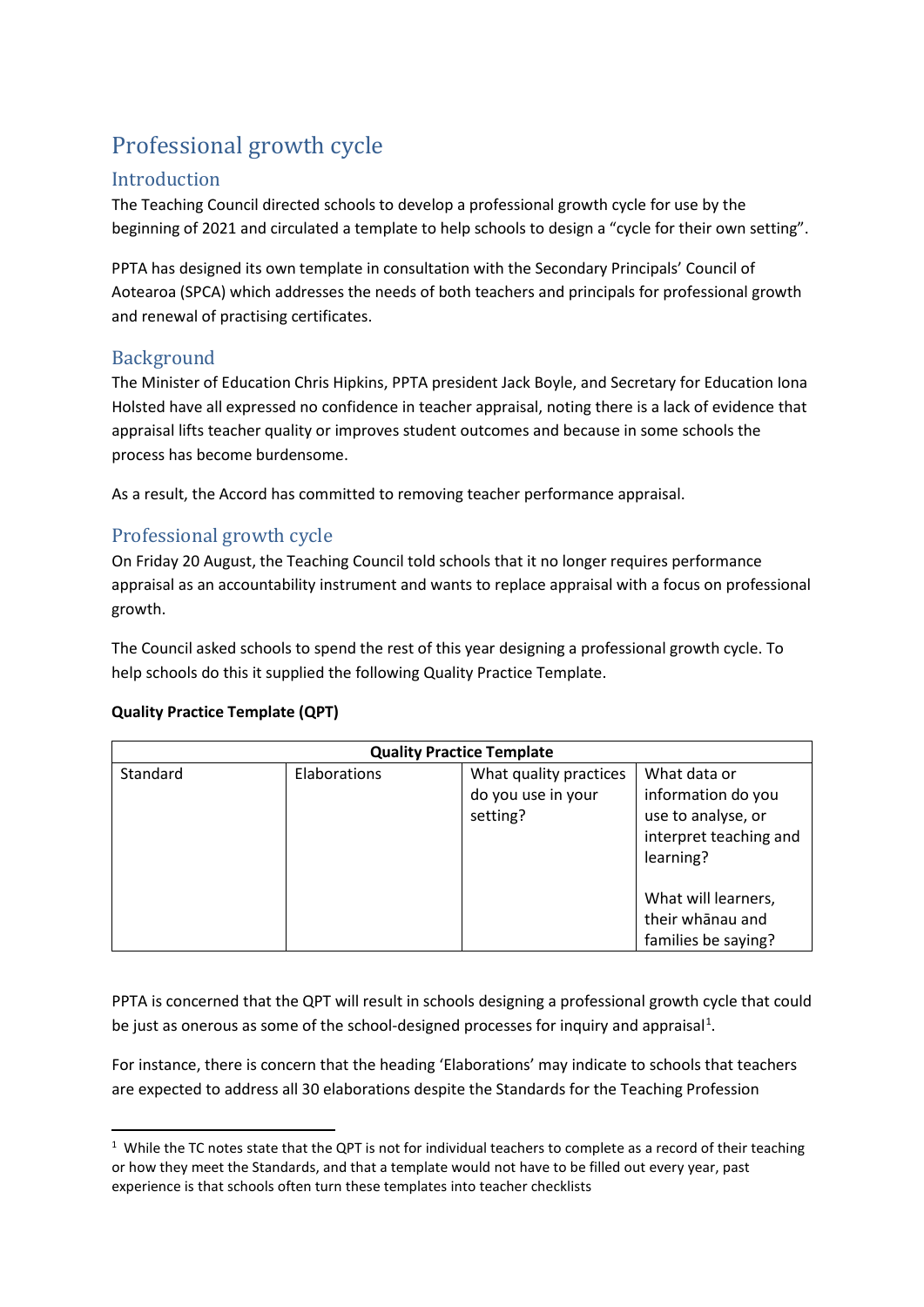# Professional growth cycle

## Introduction

The Teaching Council directed schools to develop a professional growth cycle for use by the beginning of 2021 and circulated a template to help schools to design a "cycle for their own setting".

PPTA has designed its own template in consultation with the Secondary Principals' Council of Aotearoa (SPCA) which addresses the needs of both teachers and principals for professional growth and renewal of practising certificates.

## Background

The Minister of Education Chris Hipkins, PPTA president Jack Boyle, and Secretary for Education Iona Holsted have all expressed no confidence in teacher appraisal, noting there is a lack of evidence that appraisal lifts teacher quality or improves student outcomes and because in some schools the process has become burdensome.

As a result, the Accord has committed to removing teacher performance appraisal.

# Professional growth cycle

On Friday 20 August, the Teaching Council told schools that it no longer requires performance appraisal as an accountability instrument and wants to replace appraisal with a focus on professional growth.

The Council asked schools to spend the rest of this year designing a professional growth cycle. To help schools do this it supplied the following Quality Practice Template.

#### **Quality Practice Template (QPT)**

| <b>Quality Practice Template</b> |              |                                                          |                                                                                                 |
|----------------------------------|--------------|----------------------------------------------------------|-------------------------------------------------------------------------------------------------|
| Standard                         | Elaborations | What quality practices<br>do you use in your<br>setting? | What data or<br>information do you<br>use to analyse, or<br>interpret teaching and<br>learning? |
|                                  |              |                                                          | What will learners,<br>their whanau and<br>families be saying?                                  |

PPTA is concerned that the QPT will result in schools designing a professional growth cycle that could be just as onerous as some of the school-designed processes for inquiry and appraisal<sup>[1](#page-0-0)</sup>.

For instance, there is concern that the heading 'Elaborations' may indicate to schools that teachers are expected to address all 30 elaborations despite the Standards for the Teaching Profession

<span id="page-0-0"></span> $1$  While the TC notes state that the QPT is not for individual teachers to complete as a record of their teaching or how they meet the Standards, and that a template would not have to be filled out every year, past experience is that schools often turn these templates into teacher checklists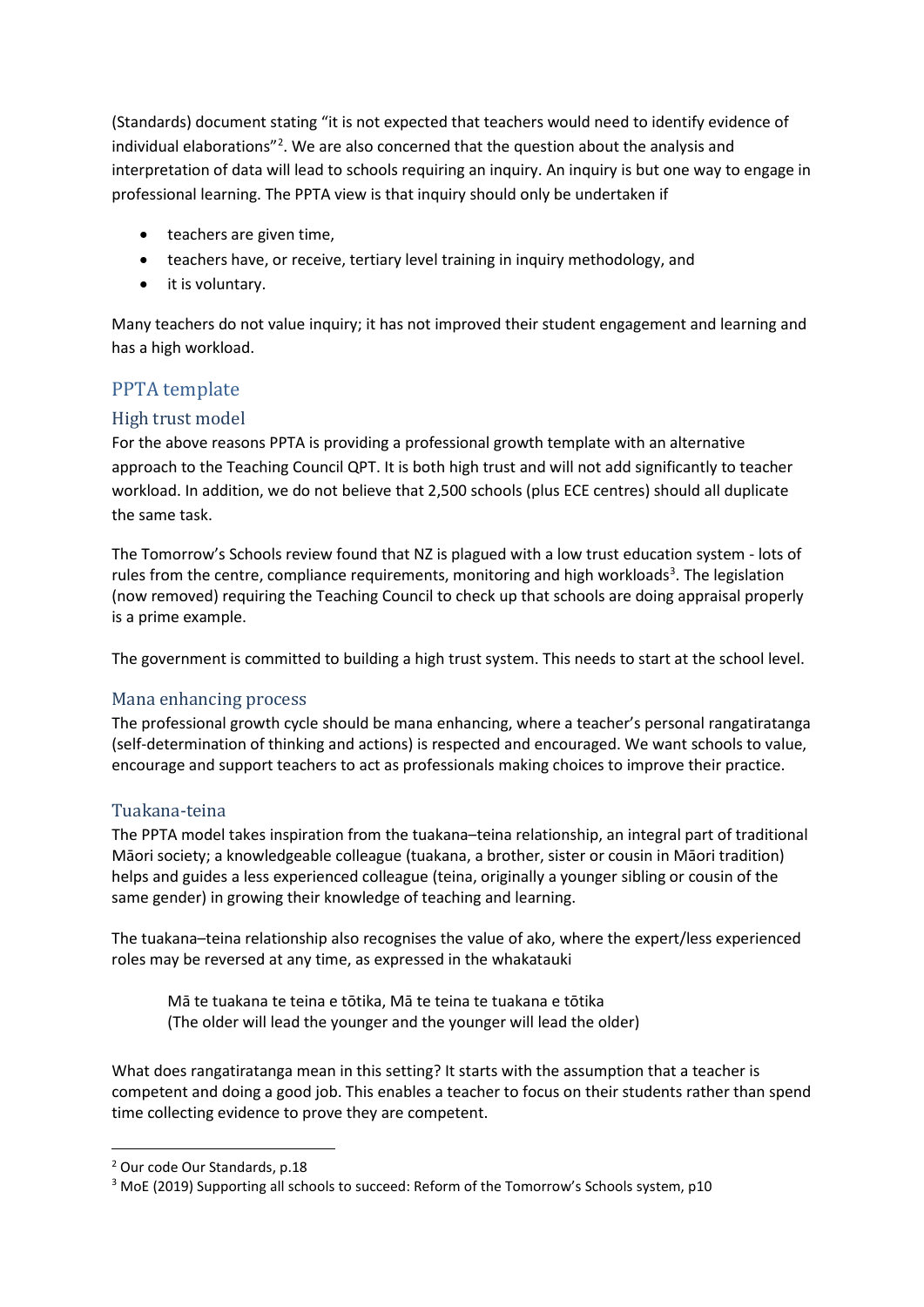(Standards) document stating "it is not expected that teachers would need to identify evidence of individual elaborations"<sup>[2](#page-1-0)</sup>. We are also concerned that the question about the analysis and interpretation of data will lead to schools requiring an inquiry. An inquiry is but one way to engage in professional learning. The PPTA view is that inquiry should only be undertaken if

- teachers are given time,
- teachers have, or receive, tertiary level training in inquiry methodology, and
- it is voluntary.

Many teachers do not value inquiry; it has not improved their student engagement and learning and has a high workload.

## PPTA template

## High trust model

For the above reasons PPTA is providing a professional growth template with an alternative approach to the Teaching Council QPT. It is both high trust and will not add significantly to teacher workload. In addition, we do not believe that 2,500 schools (plus ECE centres) should all duplicate the same task.

The Tomorrow's Schools review found that NZ is plagued with a low trust education system - lots of rules from the centre, compliance requirements, monitoring and high workloads<sup>[3](#page-1-1)</sup>. The legislation (now removed) requiring the Teaching Council to check up that schools are doing appraisal properly is a prime example.

The government is committed to building a high trust system. This needs to start at the school level.

### Mana enhancing process

The professional growth cycle should be mana enhancing, where a teacher's personal rangatiratanga (self-determination of thinking and actions) is respected and encouraged. We want schools to value, encourage and support teachers to act as professionals making choices to improve their practice.

### Tuakana-teina

The PPTA model takes inspiration from the tuakana–teina relationship, an integral part of traditional Māori society; a knowledgeable colleague (tuakana, a brother, sister or cousin in Māori tradition) helps and guides a less experienced colleague (teina, originally a younger sibling or cousin of the same gender) in growing their knowledge of teaching and learning.

The tuakana–teina relationship also recognises the value of ako, where the expert/less experienced roles may be reversed at any time, as expressed in the whakatauki

Mā te tuakana te teina e tōtika, Mā te teina te tuakana e tōtika (The older will lead the younger and the younger will lead the older)

What does rangatiratanga mean in this setting? It starts with the assumption that a teacher is competent and doing a good job. This enables a teacher to focus on their students rather than spend time collecting evidence to prove they are competent.

<span id="page-1-0"></span><sup>2</sup> Our code Our Standards, p.18

<span id="page-1-1"></span><sup>&</sup>lt;sup>3</sup> MoE (2019) Supporting all schools to succeed: Reform of the Tomorrow's Schools system, p10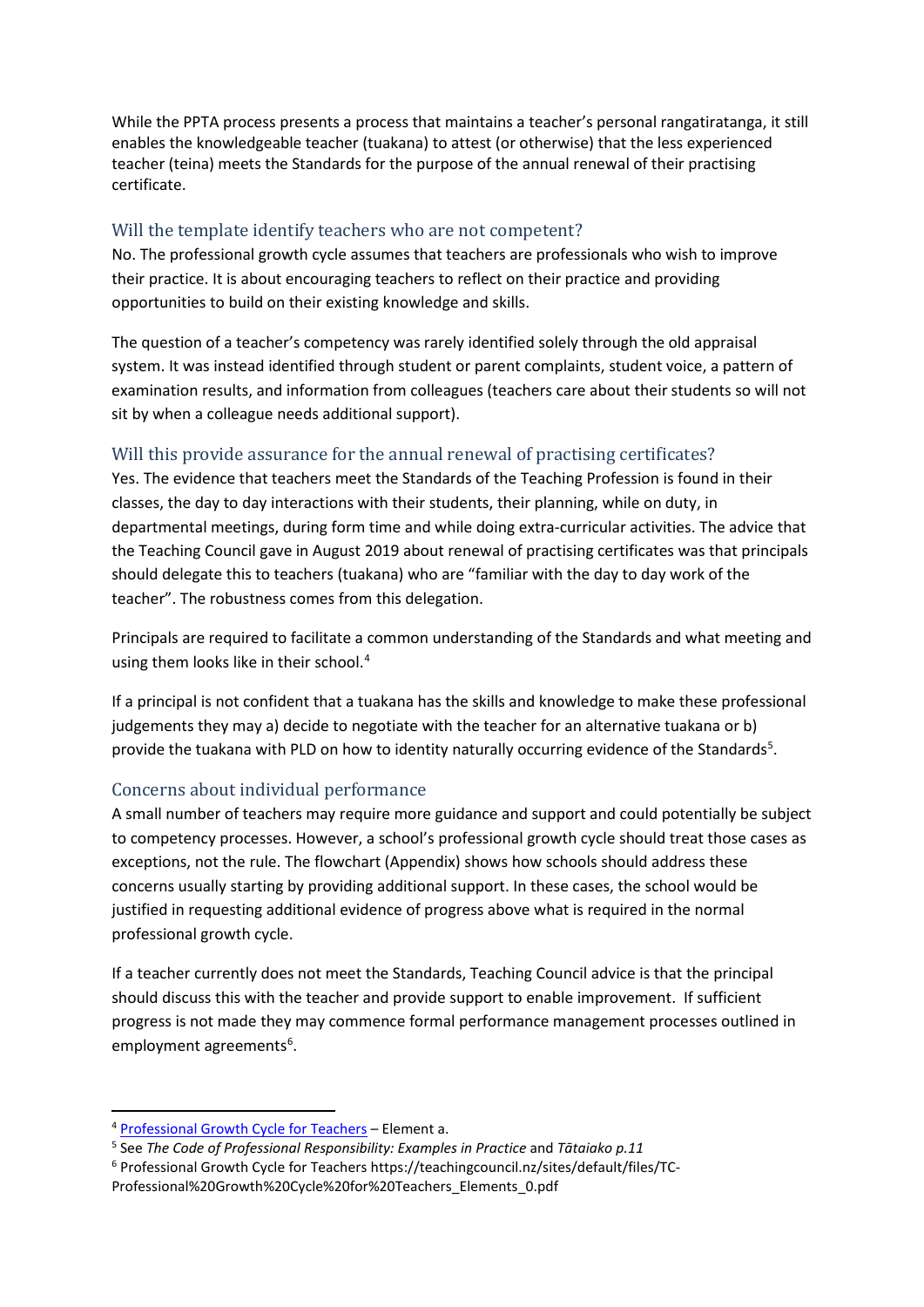While the PPTA process presents a process that maintains a teacher's personal rangatiratanga, it still enables the knowledgeable teacher (tuakana) to attest (or otherwise) that the less experienced teacher (teina) meets the Standards for the purpose of the annual renewal of their practising certificate.

#### Will the template identify teachers who are not competent?

No. The professional growth cycle assumes that teachers are professionals who wish to improve their practice. It is about encouraging teachers to reflect on their practice and providing opportunities to build on their existing knowledge and skills.

The question of a teacher's competency was rarely identified solely through the old appraisal system. It was instead identified through student or parent complaints, student voice, a pattern of examination results, and information from colleagues (teachers care about their students so will not sit by when a colleague needs additional support).

### Will this provide assurance for the annual renewal of practising certificates?

Yes. The evidence that teachers meet the Standards of the Teaching Profession is found in their classes, the day to day interactions with their students, their planning, while on duty, in departmental meetings, during form time and while doing extra-curricular activities. The advice that the Teaching Council gave in August 2019 about renewal of practising certificates was that principals should delegate this to teachers (tuakana) who are "familiar with the day to day work of the teacher". The robustness comes from this delegation.

Principals are required to facilitate a common understanding of the Standards and what meeting and using them looks like in their school.[4](#page-2-0)

If a principal is not confident that a tuakana has the skills and knowledge to make these professional judgements they may a) decide to negotiate with the teacher for an alternative tuakana or b) provide the tuakana with PLD on how to identity naturally occurring evidence of the Standards<sup>[5](#page-2-1)</sup>.

#### Concerns about individual performance

A small number of teachers may require more guidance and support and could potentially be subject to competency processes. However, a school's professional growth cycle should treat those cases as exceptions, not the rule. The flowchart (Appendix) shows how schools should address these concerns usually starting by providing additional support. In these cases, the school would be justified in requesting additional evidence of progress above what is required in the normal professional growth cycle.

If a teacher currently does not meet the Standards, Teaching Council advice is that the principal should discuss this with the teacher and provide support to enable improvement. If sufficient progress is not made they may commence formal performance management processes outlined in employment agreements<sup>[6](#page-2-2)</sup>.

<span id="page-2-0"></span><sup>4</sup> [Professional Growth Cycle for Teachers](https://teachingcouncil.nz/assets/Professional-Growth-Cycle/TC-Professional-Growth-Cycle-for-Teachers_Elements.pdf) – Element a.

<span id="page-2-1"></span><sup>5</sup> See *The Code of Professional Responsibility: Examples in Practice* and *Tātaiako p.11*

<span id="page-2-2"></span><sup>6</sup> Professional Growth Cycle for Teachers https://teachingcouncil.nz/sites/default/files/TC-

Professional%20Growth%20Cycle%20for%20Teachers\_Elements\_0.pdf